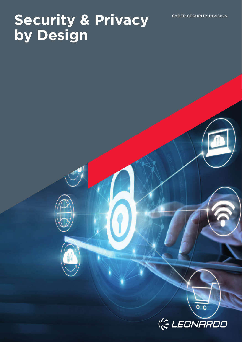# **Security & Privacy CYBER SECURITY DIVISION by Design**



 $0<sub>0</sub>$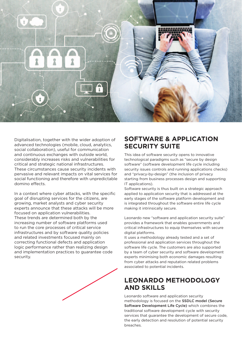

Digitalisation, together with the wider adoption of advanced technologies (mobile, cloud, analytics, social collaboration), useful for communication and continuous exchanges with outside world, considerably increases risks and vulnerabilities for critical and strategic national infrastructures. These circumstances cause security incidents with pervasive and relevant impacts on vital services for social functioning and therefore with unpredictable domino effects.

In a context where cyber attacks, with the specific goal of disrupting services for the citizens, are growing, market analysts and cyber security experts announce that these attacks will be more focused on application vulnerabilities. These trends are determined both by the increasing number of software platforms used to run the core processes of critical service infrastructures and by software quality policies and related investments focused mainly on correcting functional defects and application logic performance rather than realizing design and implementation practices to guarantee code security.

#### **SOFTWARE & APPLICATION SECURITY SUITE**

This idea of software security opens to innovative technological paradigms such as "secure by design software" (software development life cycle including security issues controls and running applications checks) and "privacy-by-design" (the inclusion of privacy starting from business processes design and supporting IT applications).

Software security is thus built on a strategic approach applied to application security that is addressed at the early stages of the software platform development and is integrated throughout the software entire life cycle making it intrinsically secure.

Leonardo new "software and application security suite" provides a framework that enables governments and critical infrastructures to equip themselves with secure digital platforms.

It uses a methodology already tested and a set of professional and application services throughout the software life cycle. The customers are also supported by a team of cyber security and software development experts minimising both economic damages resulting from cyber attacks and reputation related problems associated to potential incidents.

### **LEONARDO METHODOLOGY AND SKILLS**

Leonardo software and application security methodology is focused on the SSDLC model (Secure Software Development Life Cycle) which combines the traditional software development cycle with security services that guarantee the development of secure code, the early detection and resolution of potential security breaches.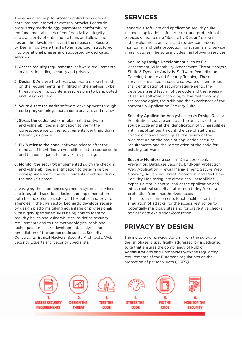These services help to protect applications against data loss and internal or external attacks. Leonardo proprietary methodology guarantees conformity to the fundamental pillars of confidentiality, integrity and availability of data and systems and allows the design, the development and the release of "Secure by Design" software thanks to an approach structured into operational phases and supported by dedicated services.

- 1. Assess security requirements: software requirements analysis, including security and privacy.
- 2. Design & Analyse the threat: software design based on the requirements highlighted in the analysis, cyber threat modeling, countermeasures plan to be adopted and design review.
- 3. Write & test the code: software development through code programming, source code analysis and review.
- 4. Stress the code: test of implemented software and vulnerabilities identification to verify the correspondence to the requirements identified during the analysis phase.
- 5. Fix & release the code: software release after the removal of identified vulnerabilities in the source code and the consequent handover test passing.
- 6. Monitor the security: implemented software checking and vulnerabilities identification to determine the correspondence to the requirements identified during the analysis phase.

Leveraging the experiences gained in systems, services and integrated solutions design and implementation both for the defence sector and for public and private agencies in the civil sector, Leonardo develops secure by design platforms taking advantage of professionals with highly specialised skills being able to identify security issues and vulnerabilities, to define security requirements and to use methodologies, tools and techniques for secure development, analysis and remediation of the source code such as Security Consultants, Ethical Hackers, Security Architects, Web Security Experts and Security Specialists.

## **SERVICES**

Leonardo's software and application security suite includes application, infrastructural and professional services guaranteeing "Secure by Design" design and development, analysis and review, continuous monitoring and data protection for systems and service infrastructures. The suite includes the following services:

- › Secure by Design Development such as Risk Assessment, Vulnerability Assessment, Threat Analysis, Static & Dynamic Analysis, Software Remediation, Patching Update and Security Training. These services are aimed at secure software design through the identification of security requirements, the developing and testing of the code and the releasing of secure software, according to the methodology, the technologies, the skills and the experiences of the software & Application Security Suite.
- › Security Application Analysis, such as Design Review, Penetration Test, are aimed at the analysis of the source code and at the identification of vulnerabilities within applications through the use of static and dynamic analysis techniques, the review of the architecture on the basis of application security requirements and the remediation of the code for existing software.
- › Security Monitoring such as Data Loss/Leak Prevention, Database Security, EndPoint Protection, Web Application Firewall Management, Secure Web Gateway, Advanced Threat Protection, and Real Time Security Monitoring, are aimed at vulnerabilities exposure status control and at the application and infrastructural security status monitoring for data protection from unauthorized access. The suite also implements functionalities for the simulation of attacks, for the access restriction to potentially malicious sites and for preventive checks against data exfiltration/corruption.

## **PRIVACY BY DESIGN**

The inclusion of privacy starting from the software design phase is specifically addressed by a dedicated suite that ensures the compliancy of Public Administrations and Companies with the regulatory requirements of the European regulations on the protection of personal data (GDPR).